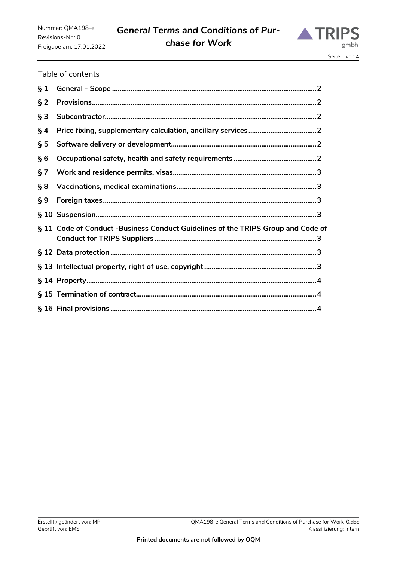# *General Terms and Conditions of Purchase for Work*



## Table of contents

| $\S 1$ |                                                                                  |
|--------|----------------------------------------------------------------------------------|
| $\S$ 2 |                                                                                  |
| $§$ 3  |                                                                                  |
| $\S$ 4 |                                                                                  |
| $\S 5$ |                                                                                  |
| §6     |                                                                                  |
| § 7    |                                                                                  |
| § 8    |                                                                                  |
| $\S 9$ |                                                                                  |
|        |                                                                                  |
|        | § 11 Code of Conduct -Business Conduct Guidelines of the TRIPS Group and Code of |
|        |                                                                                  |
|        |                                                                                  |
|        |                                                                                  |
|        |                                                                                  |
|        |                                                                                  |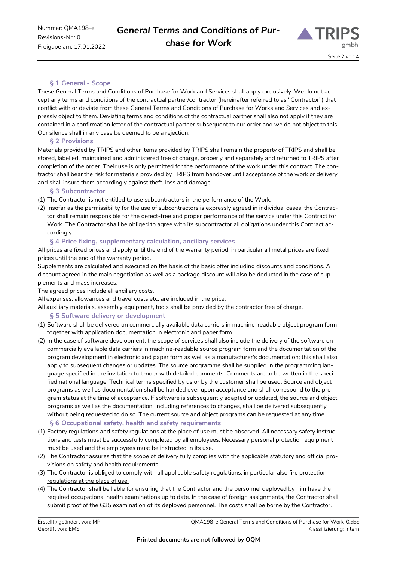

# **§ 1 General - Scope**

<span id="page-1-0"></span>These General Terms and Conditions of Purchase for Work and Services shall apply exclusively. We do not accept any terms and conditions of the contractual partner/contractor (hereinafter referred to as "Contractor") that conflict with or deviate from these General Terms and Conditions of Purchase for Works and Services and expressly object to them. Deviating terms and conditions of the contractual partner shall also not apply if they are contained in a confirmation letter of the contractual partner subsequent to our order and we do not object to this. Our silence shall in any case be deemed to be a rejection.

#### **§ 2 Provisions**

<span id="page-1-1"></span>Materials provided by TRIPS and other items provided by TRIPS shall remain the property of TRIPS and shall be stored, labelled, maintained and administered free of charge, properly and separately and returned to TRIPS after completion of the order. Their use is only permitted for the performance of the work under this contract. The contractor shall bear the risk for materials provided by TRIPS from handover until acceptance of the work or delivery and shall insure them accordingly against theft, loss and damage.

## **§ 3 Subcontractor**

- <span id="page-1-2"></span>(1) The Contractor is not entitled to use subcontractors in the performance of the Work.
- (2) Insofar as the permissibility for the use of subcontractors is expressly agreed in individual cases, the Contractor shall remain responsible for the defect-free and proper performance of the service under this Contract for Work. The Contractor shall be obliged to agree with its subcontractor all obligations under this Contract accordingly.

## **§ 4 Price fixing, supplementary calculation, ancillary services**

<span id="page-1-3"></span>All prices are fixed prices and apply until the end of the warranty period, in particular all metal prices are fixed prices until the end of the warranty period.

Supplements are calculated and executed on the basis of the basic offer including discounts and conditions. A discount agreed in the main negotiation as well as a package discount will also be deducted in the case of supplements and mass increases.

The agreed prices include all ancillary costs.

All expenses, allowances and travel costs etc. are included in the price.

<span id="page-1-4"></span>All auxiliary materials, assembly equipment, tools shall be provided by the contractor free of charge.

#### **§ 5 Software delivery or development**

- (1) Software shall be delivered on commercially available data carriers in machine-readable object program form together with application documentation in electronic and paper form.
- (2) In the case of software development, the scope of services shall also include the delivery of the software on commercially available data carriers in machine-readable source program form and the documentation of the program development in electronic and paper form as well as a manufacturer's documentation; this shall also apply to subsequent changes or updates. The source programme shall be supplied in the programming language specified in the invitation to tender with detailed comments. Comments are to be written in the specified national language. Technical terms specified by us or by the customer shall be used. Source and object programs as well as documentation shall be handed over upon acceptance and shall correspond to the program status at the time of acceptance. If software is subsequently adapted or updated, the source and object programs as well as the documentation, including references to changes, shall be delivered subsequently without being requested to do so. The current source and object programs can be requested at any time. **§ 6 Occupational safety, health and safety requirements**
- <span id="page-1-5"></span>(1) Factory regulations and safety regulations at the place of use must be observed. All necessary safety instructions and tests must be successfully completed by all employees. Necessary personal protection equipment must be used and the employees must be instructed in its use.
- (2) The Contractor assures that the scope of delivery fully complies with the applicable statutory and official provisions on safety and health requirements.
- (3) The Contractor is obliged to comply with all applicable safety regulations, in particular also fire protection regulations at the place of use.
- (4) The Contractor shall be liable for ensuring that the Contractor and the personnel deployed by him have the required occupational health examinations up to date. In the case of foreign assignments, the Contractor shall submit proof of the G35 examination of its deployed personnel. The costs shall be borne by the Contractor.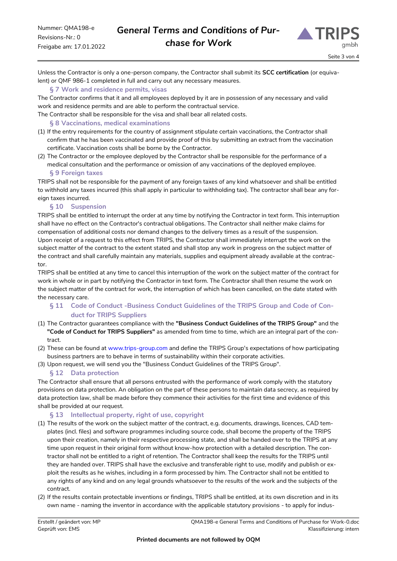

Unless the Contractor is only a one-person company, the Contractor shall submit its **SCC certification** (or equivalent) or QMF 986-1 completed in full and carry out any necessary measures.

## **§ 7 Work and residence permits, visas**

<span id="page-2-0"></span>The Contractor confirms that it and all employees deployed by it are in possession of any necessary and valid work and residence permits and are able to perform the contractual service.

<span id="page-2-1"></span>The Contractor shall be responsible for the visa and shall bear all related costs.

#### **§ 8 Vaccinations, medical examinations**

- (1) If the entry requirements for the country of assignment stipulate certain vaccinations, the Contractor shall confirm that he has been vaccinated and provide proof of this by submitting an extract from the vaccination certificate. Vaccination costs shall be borne by the Contractor.
- (2) The Contractor or the employee deployed by the Contractor shall be responsible for the performance of a medical consultation and the performance or omission of any vaccinations of the deployed employee.

#### **§ 9 Foreign taxes**

<span id="page-2-2"></span>TRIPS shall not be responsible for the payment of any foreign taxes of any kind whatsoever and shall be entitled to withhold any taxes incurred (this shall apply in particular to withholding tax). The contractor shall bear any foreign taxes incurred.

#### **§ 10 Suspension**

<span id="page-2-3"></span>TRIPS shall be entitled to interrupt the order at any time by notifying the Contractor in text form. This interruption shall have no effect on the Contractor's contractual obligations. The Contractor shall neither make claims for compensation of additional costs nor demand changes to the delivery times as a result of the suspension. Upon receipt of a request to this effect from TRIPS, the Contractor shall immediately interrupt the work on the subject matter of the contract to the extent stated and shall stop any work in progress on the subject matter of the contract and shall carefully maintain any materials, supplies and equipment already available at the contractor.

TRIPS shall be entitled at any time to cancel this interruption of the work on the subject matter of the contract for work in whole or in part by notifying the Contractor in text form. The Contractor shall then resume the work on the subject matter of the contract for work, the interruption of which has been cancelled, on the date stated with the necessary care.

## <span id="page-2-4"></span>**§ 11 Code of Conduct -Business Conduct Guidelines of the TRIPS Group and Code of Conduct for TRIPS Suppliers**

- (1) The Contractor guarantees compliance with the **"Business Conduct Guidelines of the TRIPS Group"** and the **"Code of Conduct for TRIPS Suppliers"** as amended from time to time, which are an integral part of the contract.
- (2) These can be found at [www.trips-group.com](http://www.trips-group.com/) and define the TRIPS Group's expectations of how participating business partners are to behave in terms of sustainability within their corporate activities.
- <span id="page-2-5"></span>(3) Upon request, we will send you the "Business Conduct Guidelines of the TRIPS Group".

#### **§ 12 Data protection**

The Contractor shall ensure that all persons entrusted with the performance of work comply with the statutory provisions on data protection. An obligation on the part of these persons to maintain data secrecy, as required by data protection law, shall be made before they commence their activities for the first time and evidence of this shall be provided at our request.

#### **§ 13 Intellectual property, right of use, copyright**

- <span id="page-2-6"></span>(1) The results of the work on the subject matter of the contract, e.g. documents, drawings, licences, CAD templates (incl. files) and software programmes including source code, shall become the property of the TRIPS upon their creation, namely in their respective processing state, and shall be handed over to the TRIPS at any time upon request in their original form without know-how protection with a detailed description. The contractor shall not be entitled to a right of retention. The Contractor shall keep the results for the TRIPS until they are handed over. TRIPS shall have the exclusive and transferable right to use, modify and publish or exploit the results as he wishes, including in a form processed by him. The Contractor shall not be entitled to any rights of any kind and on any legal grounds whatsoever to the results of the work and the subjects of the contract.
- (2) If the results contain protectable inventions or findings, TRIPS shall be entitled, at its own discretion and in its own name - naming the inventor in accordance with the applicable statutory provisions - to apply for indus-